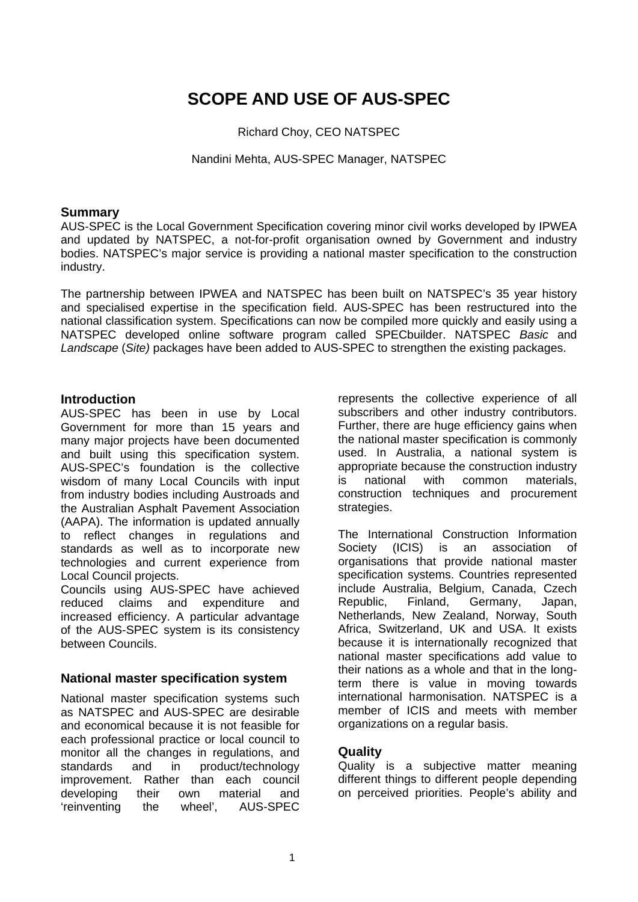# **SCOPE AND USE OF AUS-SPEC**

Richard Choy, CEO NATSPEC

Nandini Mehta, AUS-SPEC Manager, NATSPEC

## **Summary**

AUS-SPEC is the Local Government Specification covering minor civil works developed by IPWEA and updated by NATSPEC, a not-for-profit organisation owned by Government and industry bodies. NATSPEC's major service is providing a national master specification to the construction industry.

The partnership between IPWEA and NATSPEC has been built on NATSPEC's 35 year history and specialised expertise in the specification field. AUS-SPEC has been restructured into the national classification system. Specifications can now be compiled more quickly and easily using a NATSPEC developed online software program called SPECbuilder. NATSPEC *Basic* and *Landscape* (*Site)* packages have been added to AUS-SPEC to strengthen the existing packages.

## **Introduction**

AUS-SPEC has been in use by Local Government for more than 15 years and many major projects have been documented and built using this specification system. AUS-SPEC's foundation is the collective wisdom of many Local Councils with input from industry bodies including Austroads and the Australian Asphalt Pavement Association (AAPA). The information is updated annually to reflect changes in regulations and standards as well as to incorporate new technologies and current experience from Local Council projects.

Councils using AUS-SPEC have achieved reduced claims and expenditure and increased efficiency. A particular advantage of the AUS-SPEC system is its consistency between Councils.

# **National master specification system**

National master specification systems such as NATSPEC and AUS-SPEC are desirable and economical because it is not feasible for each professional practice or local council to monitor all the changes in regulations, and standards and in product/technology improvement. Rather than each council developing their own material and 'reinventing the wheel', AUS-SPEC

represents the collective experience of all subscribers and other industry contributors. Further, there are huge efficiency gains when the national master specification is commonly used. In Australia, a national system is appropriate because the construction industry is national with common materials, construction techniques and procurement strategies.

The International Construction Information Society (ICIS) is an association of organisations that provide national master specification systems. Countries represented include Australia, Belgium, Canada, Czech Republic, Finland, Germany, Japan, Netherlands, New Zealand, Norway, South Africa, Switzerland, UK and USA. It exists because it is internationally recognized that national master specifications add value to their nations as a whole and that in the longterm there is value in moving towards international harmonisation. NATSPEC is a member of ICIS and meets with member organizations on a regular basis.

# **Quality**

Quality is a subjective matter meaning different things to different people depending on perceived priorities. People's ability and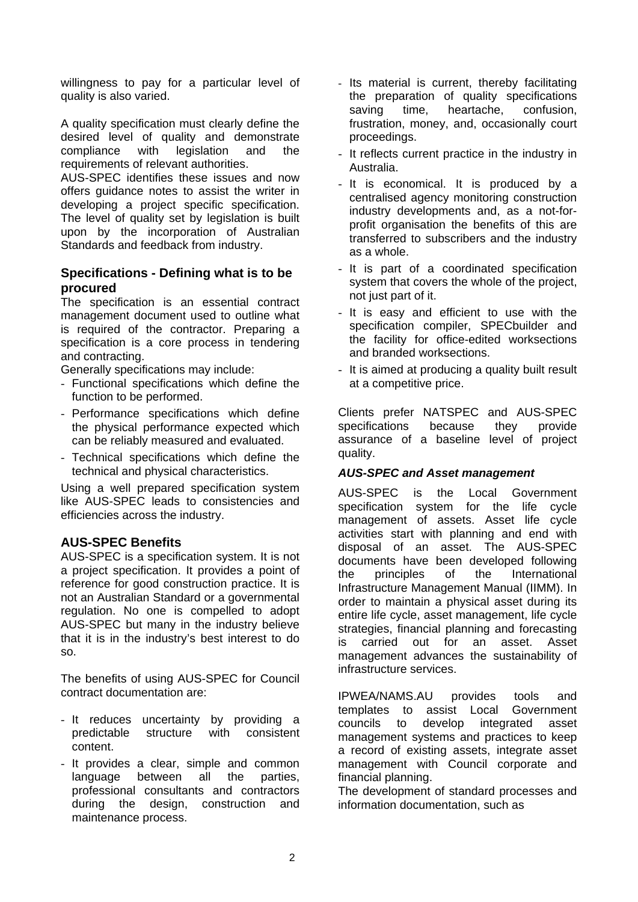willingness to pay for a particular level of quality is also varied.

A quality specification must clearly define the desired level of quality and demonstrate compliance with legislation and the requirements of relevant authorities.

AUS-SPEC identifies these issues and now offers guidance notes to assist the writer in developing a project specific specification. The level of quality set by legislation is built upon by the incorporation of Australian Standards and feedback from industry.

## **Specifications - Defining what is to be procured**

The specification is an essential contract management document used to outline what is required of the contractor. Preparing a specification is a core process in tendering and contracting.

Generally specifications may include:

- Functional specifications which define the function to be performed.
- Performance specifications which define the physical performance expected which can be reliably measured and evaluated.
- Technical specifications which define the technical and physical characteristics.

Using a well prepared specification system like AUS-SPEC leads to consistencies and efficiencies across the industry.

# **AUS-SPEC Benefits**

AUS-SPEC is a specification system. It is not a project specification. It provides a point of reference for good construction practice. It is not an Australian Standard or a governmental regulation. No one is compelled to adopt AUS-SPEC but many in the industry believe that it is in the industry's best interest to do so.

The benefits of using AUS-SPEC for Council contract documentation are:

- It reduces uncertainty by providing a predictable structure with consistent content.
- It provides a clear, simple and common language between all the parties, professional consultants and contractors during the design, construction and maintenance process.
- Its material is current, thereby facilitating the preparation of quality specifications saving time, heartache, confusion, frustration, money, and, occasionally court proceedings.
- It reflects current practice in the industry in Australia.
- It is economical. It is produced by a centralised agency monitoring construction industry developments and, as a not-forprofit organisation the benefits of this are transferred to subscribers and the industry as a whole.
- It is part of a coordinated specification system that covers the whole of the project, not just part of it.
- It is easy and efficient to use with the specification compiler, SPECbuilder and the facility for office-edited worksections and branded worksections.
- It is aimed at producing a quality built result at a competitive price.

Clients prefer NATSPEC and AUS-SPEC specifications because they provide assurance of a baseline level of project quality.

### *AUS-SPEC and Asset management*

AUS-SPEC is the Local Government specification system for the life cycle management of assets. Asset life cycle activities start with planning and end with disposal of an asset. The AUS-SPEC documents have been developed following the principles of the International Infrastructure Management Manual (IIMM). In order to maintain a physical asset during its entire life cycle, asset management, life cycle strategies, financial planning and forecasting is carried out for an asset. Asset management advances the sustainability of infrastructure services.

IPWEA/NAMS.AU provides tools and templates to assist Local Government councils to develop integrated asset management systems and practices to keep a record of existing assets, integrate asset management with Council corporate and financial planning.

The development of standard processes and information documentation, such as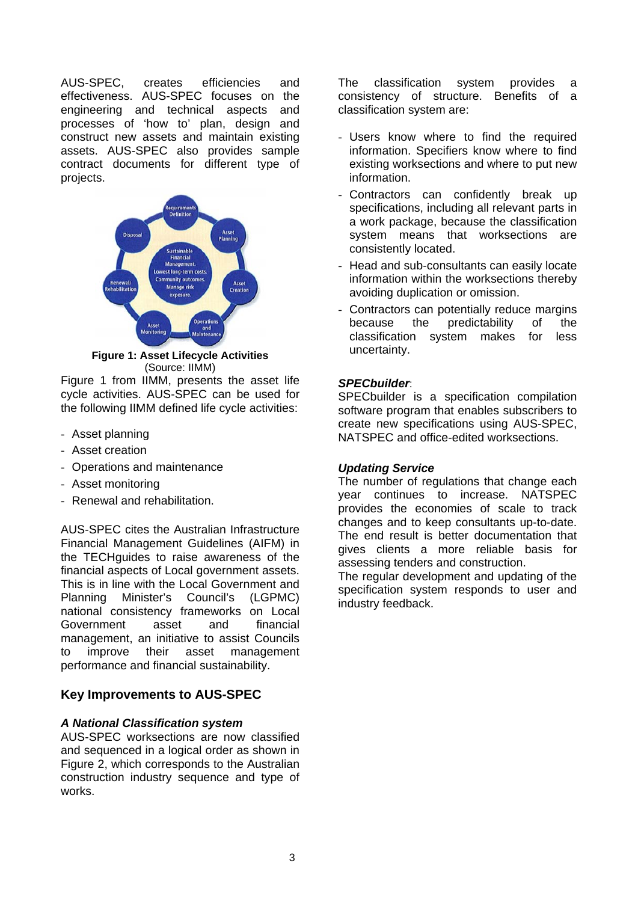AUS-SPEC, creates efficiencies and effectiveness. AUS-SPEC focuses on the engineering and technical aspects and processes of 'how to' plan, design and construct new assets and maintain existing assets. AUS-SPEC also provides sample contract documents for different type of projects.



**Figure 1: Asset Lifecycle Activities**  (Source: IIMM)

Figure 1 from IIMM, presents the asset life cycle activities. AUS-SPEC can be used for the following IIMM defined life cycle activities:

- Asset planning
- Asset creation
- Operations and maintenance
- Asset monitoring
- Renewal and rehabilitation.

AUS-SPEC cites the Australian Infrastructure Financial Management Guidelines (AIFM) in the TECHguides to raise awareness of the financial aspects of Local government assets. This is in line with the Local Government and Planning Minister's Council's (LGPMC) national consistency frameworks on Local Government asset and financial management, an initiative to assist Councils to improve their asset management performance and financial sustainability.

# **Key Improvements to AUS-SPEC**

### *A National Classification system*

AUS-SPEC worksections are now classified and sequenced in a logical order as shown in Figure 2, which corresponds to the Australian construction industry sequence and type of works.

The classification system provides a consistency of structure. Benefits of a classification system are:

- Users know where to find the required information. Specifiers know where to find existing worksections and where to put new information.
- Contractors can confidently break up specifications, including all relevant parts in a work package, because the classification system means that worksections are consistently located.
- Head and sub-consultants can easily locate information within the worksections thereby avoiding duplication or omission.
- Contractors can potentially reduce margins because the predictability of the classification system makes for less uncertainty.

### *SPECbuilder*:

SPECbuilder is a specification compilation software program that enables subscribers to create new specifications using AUS-SPEC, NATSPEC and office-edited worksections.

### *Updating Service*

The number of regulations that change each year continues to increase. NATSPEC provides the economies of scale to track changes and to keep consultants up-to-date. The end result is better documentation that gives clients a more reliable basis for assessing tenders and construction.

The regular development and updating of the specification system responds to user and industry feedback.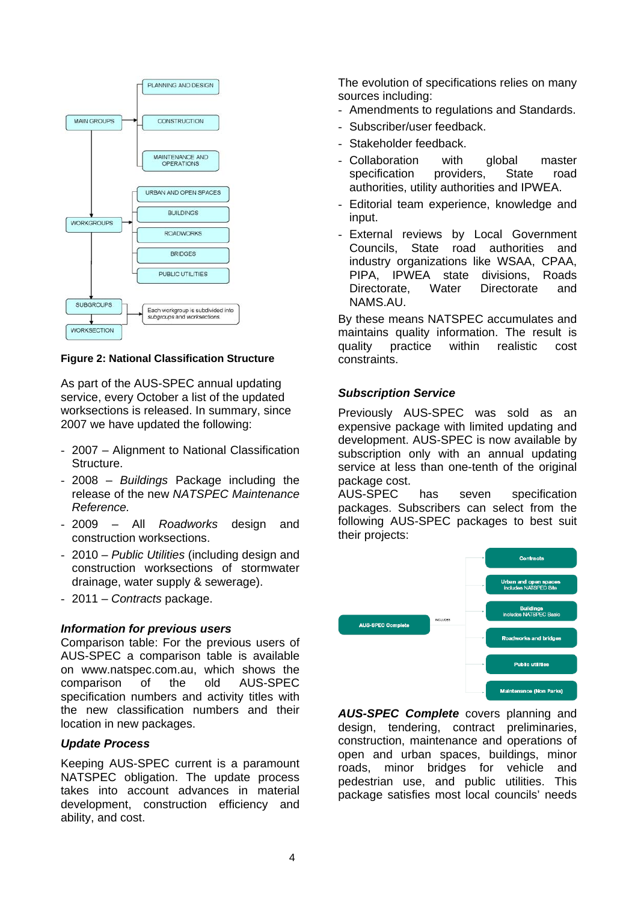

**Figure 2: National Classification Structure** 

As part of the AUS-SPEC annual updating service, every October a list of the updated worksections is released. In summary, since 2007 we have updated the following:

- 2007 Alignment to National Classification Structure.
- 2008 *Buildings* Package including the release of the new *NATSPEC Maintenance Reference.*
- 2009 All *Roadworks* design and construction worksections.
- 2010 *Public Utilities* (including design and construction worksections of stormwater drainage, water supply & sewerage).
- 2011 *Contracts* package.

### *Information for previous users*

Comparison table: For the previous users of AUS-SPEC a comparison table is available on www.natspec.com.au, which shows the comparison of the old AUS-SPEC specification numbers and activity titles with the new classification numbers and their location in new packages.

### *Update Process*

Keeping AUS-SPEC current is a paramount NATSPEC obligation. The update process takes into account advances in material development, construction efficiency and ability, and cost.

The evolution of specifications relies on many sources including:

- Amendments to regulations and Standards.
- Subscriber/user feedback.
- Stakeholder feedback.
- Collaboration with global master specification providers, State road authorities, utility authorities and IPWEA.
- Editorial team experience, knowledge and input.
- External reviews by Local Government Councils, State road authorities and industry organizations like WSAA, CPAA, PIPA, IPWEA state divisions, Roads Directorate, Water Directorate and NAMS.AU.

By these means NATSPEC accumulates and maintains quality information. The result is quality practice within realistic cost constraints.

## *Subscription Service*

Previously AUS-SPEC was sold as an expensive package with limited updating and development. AUS-SPEC is now available by subscription only with an annual updating service at less than one-tenth of the original package cost.

AUS-SPEC has seven specification packages. Subscribers can select from the following AUS-SPEC packages to best suit their projects:



*AUS-SPEC Complete* covers planning and design, tendering, contract preliminaries, construction, maintenance and operations of open and urban spaces, buildings, minor roads, minor bridges for vehicle and pedestrian use, and public utilities. This package satisfies most local councils' needs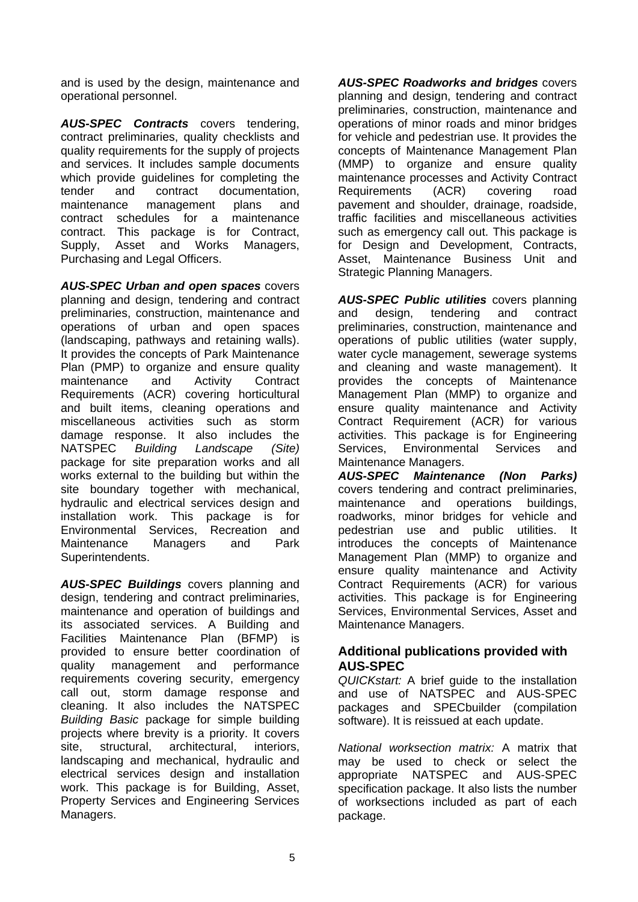and is used by the design, maintenance and operational personnel.

*AUS-SPEC Contracts* covers tendering, contract preliminaries, quality checklists and quality requirements for the supply of projects and services. It includes sample documents which provide guidelines for completing the tender and contract documentation, maintenance management plans and contract schedules for a maintenance contract. This package is for Contract, Supply, Asset and Works Managers, Purchasing and Legal Officers.

*AUS-SPEC Urban and open spaces* covers planning and design, tendering and contract preliminaries, construction, maintenance and operations of urban and open spaces (landscaping, pathways and retaining walls). It provides the concepts of Park Maintenance Plan (PMP) to organize and ensure quality maintenance and Activity Contract Requirements (ACR) covering horticultural and built items, cleaning operations and miscellaneous activities such as storm damage response. It also includes the NATSPEC *Building Landscape (Site)* package for site preparation works and all works external to the building but within the site boundary together with mechanical, hydraulic and electrical services design and installation work. This package is for Environmental Services, Recreation and Maintenance Managers and Park Superintendents.

*AUS-SPEC Buildings* covers planning and design, tendering and contract preliminaries, maintenance and operation of buildings and its associated services. A Building and Facilities Maintenance Plan (BFMP) is provided to ensure better coordination of quality management and performance requirements covering security, emergency call out, storm damage response and cleaning. It also includes the NATSPEC *Building Basic* package for simple building projects where brevity is a priority. It covers site, structural, architectural, interiors, landscaping and mechanical, hydraulic and electrical services design and installation work. This package is for Building. Asset. Property Services and Engineering Services Managers.

*AUS-SPEC Roadworks and bridges* covers planning and design, tendering and contract preliminaries, construction, maintenance and operations of minor roads and minor bridges for vehicle and pedestrian use. It provides the concepts of Maintenance Management Plan (MMP) to organize and ensure quality maintenance processes and Activity Contract Requirements (ACR) covering road pavement and shoulder, drainage, roadside, traffic facilities and miscellaneous activities such as emergency call out. This package is for Design and Development, Contracts, Asset, Maintenance Business Unit and Strategic Planning Managers.

*AUS-SPEC Public utilities* covers planning and design, tendering and contract preliminaries, construction, maintenance and operations of public utilities (water supply, water cycle management, sewerage systems and cleaning and waste management). It provides the concepts of Maintenance Management Plan (MMP) to organize and ensure quality maintenance and Activity Contract Requirement (ACR) for various activities. This package is for Engineering Services, Environmental Services and Maintenance Managers.

*AUS-SPEC Maintenance (Non Parks)*  covers tendering and contract preliminaries, maintenance and operations buildings, roadworks, minor bridges for vehicle and pedestrian use and public utilities. It introduces the concepts of Maintenance Management Plan (MMP) to organize and ensure quality maintenance and Activity Contract Requirements (ACR) for various activities. This package is for Engineering Services, Environmental Services, Asset and Maintenance Managers.

# **Additional publications provided with AUS-SPEC**

*QUICKstart:* A brief guide to the installation and use of NATSPEC and AUS-SPEC packages and SPECbuilder (compilation software). It is reissued at each update.

*National worksection matrix:* A matrix that may be used to check or select the appropriate NATSPEC and AUS-SPEC specification package. It also lists the number of worksections included as part of each package.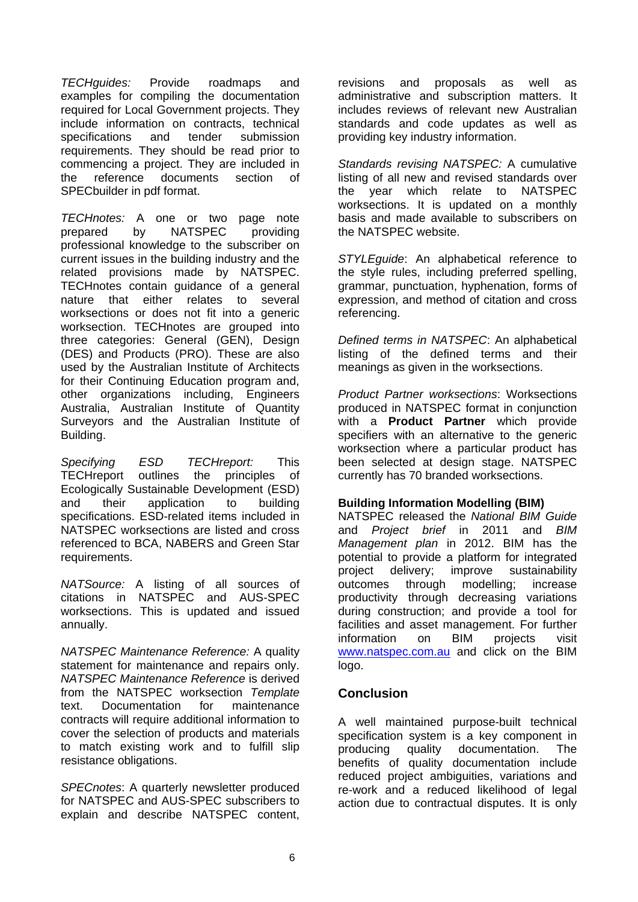*TECHguides:* Provide roadmaps and examples for compiling the documentation required for Local Government projects. They include information on contracts, technical specifications and tender submission requirements. They should be read prior to commencing a project. They are included in the reference documents section of SPECbuilder in pdf format.

*TECHnotes:* A one or two page note prepared by NATSPEC providing professional knowledge to the subscriber on current issues in the building industry and the related provisions made by NATSPEC. TECHnotes contain guidance of a general nature that either relates to several worksections or does not fit into a generic worksection. TECHnotes are grouped into three categories: General (GEN), Design (DES) and Products (PRO). These are also used by the Australian Institute of Architects for their Continuing Education program and, other organizations including, Engineers Australia, Australian Institute of Quantity Surveyors and the Australian Institute of Building.

*Specifying ESD TECHreport:* This TECHreport outlines the principles of Ecologically Sustainable Development (ESD) and their application to building specifications. ESD-related items included in NATSPEC worksections are listed and cross referenced to BCA, NABERS and Green Star requirements.

*NATSource:* A listing of all sources of citations in NATSPEC and AUS-SPEC worksections. This is updated and issued annually.

*NATSPEC Maintenance Reference:* A quality statement for maintenance and repairs only. *NATSPEC Maintenance Reference* is derived from the NATSPEC worksection *Template* text. Documentation for maintenance contracts will require additional information to cover the selection of products and materials to match existing work and to fulfill slip resistance obligations.

*SPECnotes*: A quarterly newsletter produced for NATSPEC and AUS-SPEC subscribers to explain and describe NATSPEC content,

revisions and proposals as well as administrative and subscription matters. It includes reviews of relevant new Australian standards and code updates as well as providing key industry information.

*Standards revising NATSPEC:* A cumulative listing of all new and revised standards over the year which relate to NATSPEC worksections. It is updated on a monthly basis and made available to subscribers on the NATSPEC website.

*STYLEguide*: An alphabetical reference to the style rules, including preferred spelling, grammar, punctuation, hyphenation, forms of expression, and method of citation and cross referencing.

*Defined terms in NATSPEC*: An alphabetical listing of the defined terms and their meanings as given in the worksections.

*Product Partner worksections*: Worksections produced in NATSPEC format in conjunction with a **Product Partner** which provide specifiers with an alternative to the generic worksection where a particular product has been selected at design stage. NATSPEC currently has 70 branded worksections.

### **Building Information Modelling (BIM)**

NATSPEC released the *National BIM Guide* and *Project brief* in 2011 and *BIM Management plan* in 2012. BIM has the potential to provide a platform for integrated project delivery; improve sustainability outcomes through modelling; increase productivity through decreasing variations during construction; and provide a tool for facilities and asset management. For further information on BIM projects visit www.natspec.com.au and click on the BIM logo.

# **Conclusion**

A well maintained purpose-built technical specification system is a key component in producing quality documentation. The benefits of quality documentation include reduced project ambiguities, variations and re-work and a reduced likelihood of legal action due to contractual disputes. It is only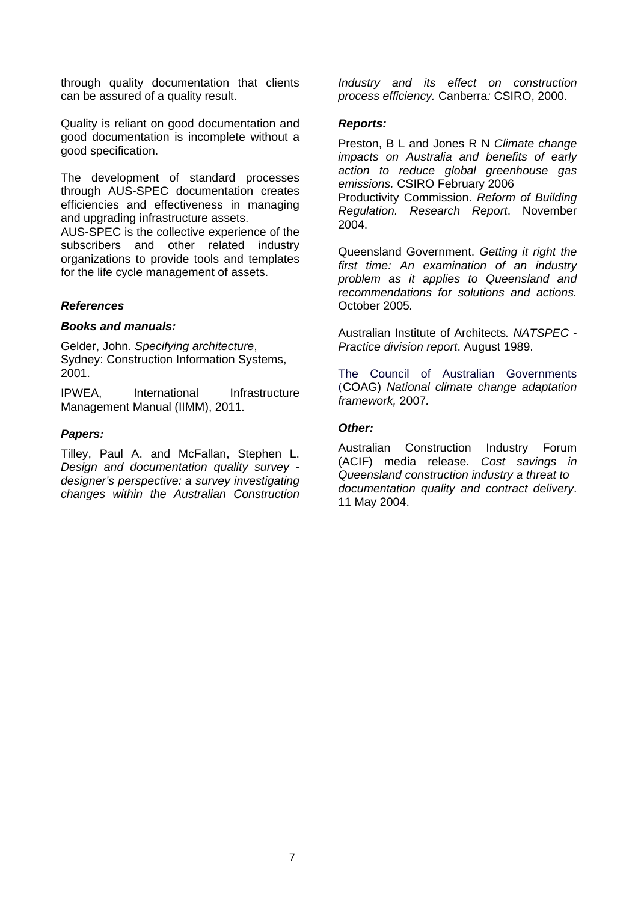through quality documentation that clients can be assured of a quality result.

Quality is reliant on good documentation and good documentation is incomplete without a good specification.

The development of standard processes through AUS-SPEC documentation creates efficiencies and effectiveness in managing and upgrading infrastructure assets.

AUS-SPEC is the collective experience of the subscribers and other related industry organizations to provide tools and templates for the life cycle management of assets.

#### *References*

#### *Books and manuals:*

Gelder, John. *Specifying architecture*, Sydney: Construction Information Systems, 2001.

IPWEA, International Infrastructure Management Manual (IIMM), 2011.

#### *Papers:*

Tilley, Paul A. and McFallan, Stephen L. *Design and documentation quality survey designer's perspective: a survey investigating changes within the Australian Construction*  *Industry and its effect on construction process efficiency.* Canberra*:* CSIRO, 2000.

#### *Reports:*

Preston, B L and Jones R N *Climate change impacts on Australia and benefits of early action to reduce global greenhouse gas emissions.* CSIRO February 2006 Productivity Commission. *Reform of Building Regulation. Research Report*. November 2004.

Queensland Government. *Getting it right the first time: An examination of an industry problem as it applies to Queensland and recommendations for solutions and actions.*  October 2005*.* 

Australian Institute of Architects*. NATSPEC - Practice division report*. August 1989.

The Council of Australian Governments (COAG) *National climate change adaptation framework,* 2007*.* 

#### *Other:*

Australian Construction Industry Forum (ACIF) media release. *Cost savings in Queensland construction industry a threat to documentation quality and contract delivery*. 11 May 2004.